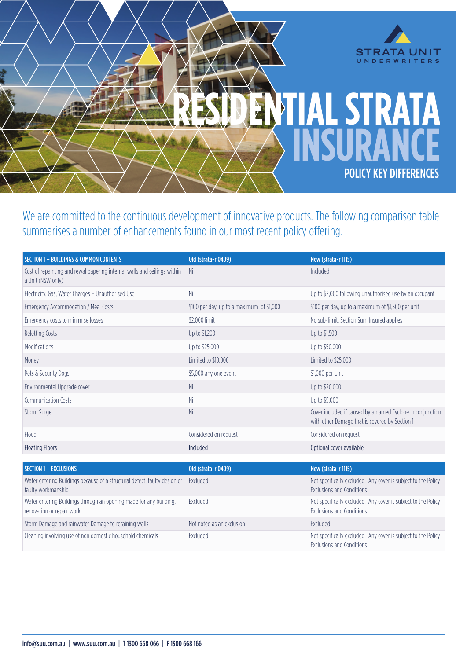

We are committed to the continuous development of innovative products. The following comparison table summarises a number of enhancements found in our most recent policy offering.

| <b>SECTION 1 - BUILDINGS &amp; COMMON CONTENTS</b>                                              | Old (strata-r 0409)                       | New (strata-r 1115)                                                                                          |
|-------------------------------------------------------------------------------------------------|-------------------------------------------|--------------------------------------------------------------------------------------------------------------|
| Cost of repainting and rewallpapering internal walls and ceilings within<br>a Unit (NSW only)   | Nil                                       | Included                                                                                                     |
| Electricity, Gas, Water Charges - Unauthorised Use                                              | Nil                                       | Up to \$2,000 following unauthorised use by an occupant                                                      |
| Emergency Accommodation / Meal Costs                                                            | \$100 per day, up to a maximum of \$1,000 | \$100 per day, up to a maximum of \$1,500 per unit                                                           |
| Emergency costs to minimise losses                                                              | \$2,000 limit                             | No sub-limit. Section Sum Insured applies                                                                    |
| <b>Reletting Costs</b>                                                                          | Up to \$1,200                             | Up to \$1,500                                                                                                |
| Modifications                                                                                   | Up to \$25,000                            | Up to \$50,000                                                                                               |
| Money                                                                                           | Limited to \$10,000                       | Limited to \$25,000                                                                                          |
| Pets & Security Dogs                                                                            | \$5,000 any one event                     | \$1,000 per Unit                                                                                             |
| Environmental Upgrade cover                                                                     | <b>Nil</b>                                | Up to \$20,000                                                                                               |
| Communication Costs                                                                             | Nil                                       | Up to \$5,000                                                                                                |
| Storm Surge                                                                                     | Nil                                       | Cover included if caused by a named Cyclone in conjunction<br>with other Damage that is covered by Section 1 |
| Flood                                                                                           | Considered on request                     | Considered on request                                                                                        |
| <b>Floating Floors</b>                                                                          | Included                                  | Optional cover available                                                                                     |
|                                                                                                 |                                           |                                                                                                              |
| <b>SECTION 1 - EXCLUSIONS</b>                                                                   | <b>Old (strata-r 0409)</b>                | New (strata-r 1115)                                                                                          |
| Water entering Buildings because of a structural defect, faulty design or<br>faulty workmanship | Excluded                                  | Not specifically excluded. Any cover is subject to the Policy<br><b>Exclusions and Conditions</b>            |
| Water entering Buildings through an opening made for any building,<br>renovation or repair work | Excluded                                  | Not specifically excluded. Any cover is subject to the Policy<br><b>Exclusions and Conditions</b>            |
| Storm Damage and rainwater Damage to retaining walls                                            | Not noted as an exclusion                 | Excluded                                                                                                     |
| Cleaning involving use of non domestic household chemicals                                      | Excluded                                  | Not specifically excluded. Any cover is subject to the Policy<br><b>Exclusions and Conditions</b>            |